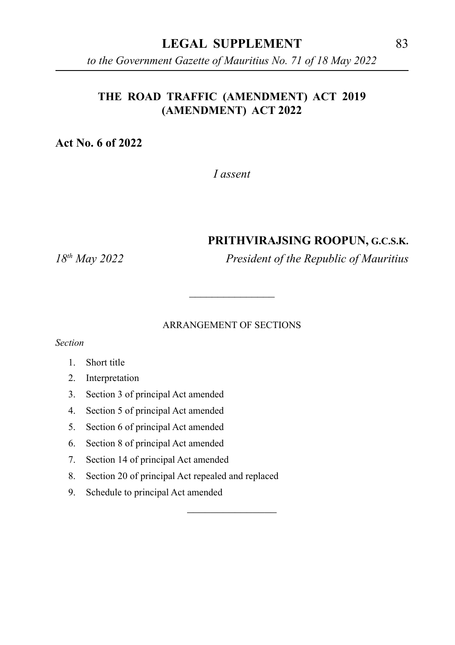#### **LEGAL SUPPLEMENT** 83

*to the Government Gazette of Mauritius No. 71 of 18 May 2022*

#### **THE ROAD TRAFFIC (AMENDMENT) ACT 2019 (AMENDMENT) ACT 2022**

**Act No. 6 of 2022**

*I assent*

#### **PRITHVIRAJSING ROOPUN, G.C.S.K.**

*18th May 2022 President of the Republic of Mauritius*

#### ARRANGEMENT OF SECTIONS

 $\overline{\phantom{a}}$  , where  $\overline{\phantom{a}}$ 

\_\_\_\_\_\_\_\_\_\_\_\_\_\_\_

*Section*

- 1. Short title
- 2. Interpretation
- 3. Section 3 of principal Act amended
- 4. Section 5 of principal Act amended
- 5. Section 6 of principal Act amended
- 6. Section 8 of principal Act amended
- 7. Section 14 of principal Act amended
- 8. Section 20 of principal Act repealed and replaced
- 9. Schedule to principal Act amended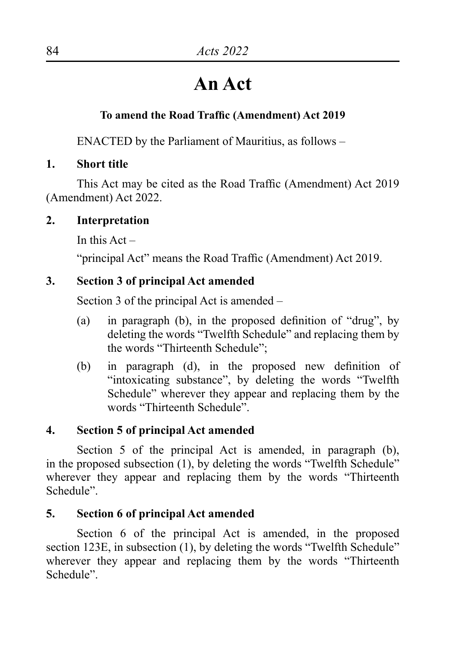# **An Act**

## **To amend the Road Traffic (Amendment) Act 2019**

ENACTED by the Parliament of Mauritius, as follows –

**1. Short title**

This Act may be cited as the Road Traffic (Amendment) Act 2019 (Amendment) Act 2022.

## **2. Interpretation**

In this  $Act -$ 

"principal Act" means the Road Traffic (Amendment) Act 2019.

## **3. Section 3 of principal Act amended**

Section 3 of the principal Act is amended –

- (a) in paragraph (b), in the proposed definition of "drug", by deleting the words "Twelfth Schedule" and replacing them by the words "Thirteenth Schedule";
- (b) in paragraph (d), in the proposed new definition of "intoxicating substance", by deleting the words "Twelfth Schedule" wherever they appear and replacing them by the words "Thirteenth Schedule".

## **4. Section 5 of principal Act amended**

Section 5 of the principal Act is amended, in paragraph (b), in the proposed subsection (1), by deleting the words "Twelfth Schedule" wherever they appear and replacing them by the words "Thirteenth" Schedule".

## **5. Section 6 of principal Act amended**

Section 6 of the principal Act is amended, in the proposed section 123E, in subsection (1), by deleting the words "Twelfth Schedule" wherever they appear and replacing them by the words "Thirteenth" Schedule".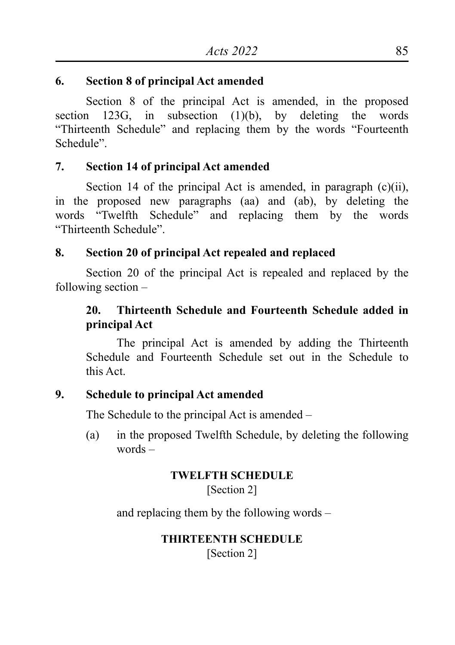#### **6. Section 8 of principal Act amended**

Section 8 of the principal Act is amended, in the proposed section 123G, in subsection  $(1)(b)$ , by deleting the words "Thirteenth Schedule" and replacing them by the words "Fourteenth Schedule".

## **7. Section 14 of principal Act amended**

Section 14 of the principal Act is amended, in paragraph (c)(ii), in the proposed new paragraphs (aa) and (ab), by deleting the words "Twelfth Schedule" and replacing them by the words "Thirteenth Schedule".

## **8. Section 20 of principal Act repealed and replaced**

Section 20 of the principal Act is repealed and replaced by the following section –

## **20. Thirteenth Schedule and Fourteenth Schedule added in principal Act**

The principal Act is amended by adding the Thirteenth Schedule and Fourteenth Schedule set out in the Schedule to this Act.

## **9. Schedule to principal Act amended**

The Schedule to the principal Act is amended –

(a) in the proposed Twelfth Schedule, by deleting the following words –

## **TWELFTH SCHEDULE**

[Section 2]

and replacing them by the following words –

## **THIRTEENTH SCHEDULE**

[Section 2]